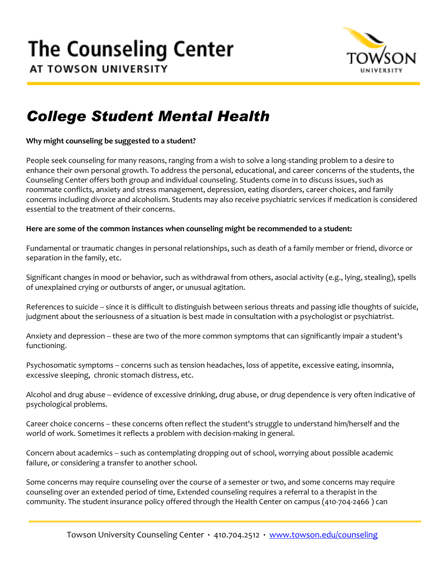

## *College Student Mental Health*

**Why might counseling be suggested to a student?**

People seek counseling for many reasons, ranging from a wish to solve a long-standing problem to a desire to enhance their own personal growth. To address the personal, educational, and career concerns of the students, the Counseling Center offers both group and individual counseling. Students come in to discuss issues, such as roommate conflicts, anxiety and stress management, depression, eating disorders, career choices, and family concerns including divorce and alcoholism. Students may also receive psychiatric services if medication is considered essential to the treatment of their concerns.

### **Here are some of the common instances when counseling might be recommended to a student:**

Fundamental or traumatic changes in personal relationships, such as death of a family member or friend, divorce or separation in the family, etc.

Significant changes in mood or behavior, such as withdrawal from others, asocial activity (e.g., lying, stealing), spells of unexplained crying or outbursts of anger, or unusual agitation.

References to suicide -- since it is difficult to distinguish between serious threats and passing idle thoughts of suicide, judgment about the seriousness of a situation is best made in consultation with a psychologist or psychiatrist.

Anxiety and depression -- these are two of the more common symptoms that can significantly impair a student's functioning.

Psychosomatic symptoms -- concerns such as tension headaches, loss of appetite, excessive eating, insomnia, excessive sleeping, chronic stomach distress, etc.

Alcohol and drug abuse -- evidence of excessive drinking, drug abuse, or drug dependence is very often indicative of psychological problems.

Career choice concerns -- these concerns often reflect the student's struggle to understand him/herself and the world of work. Sometimes it reflects a problem with decision-making in general.

Concern about academics -- such as contemplating dropping out of school, worrying about possible academic failure, or considering a transfer to another school.

Some concerns may require counseling over the course of a semester or two, and some concerns may require counseling over an extended period of time, Extended counseling requires a referral to a therapist in the community. The student insurance policy offered through the Health Center on campus (410-704-2466 ) can